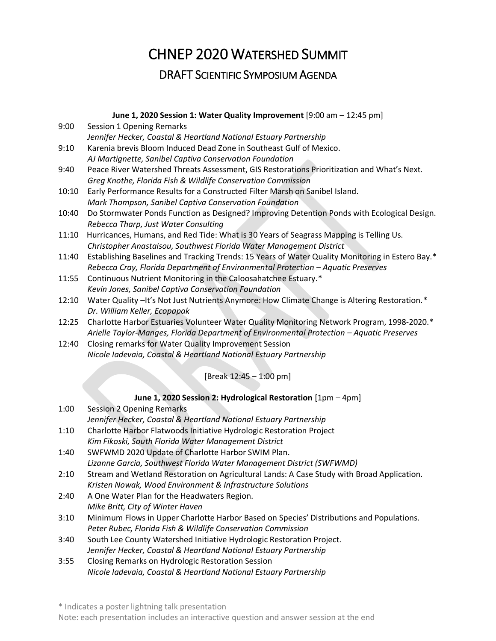# CHNEP 2020 WATERSHED SUMMIT

# DRAFT SCIENTIFIC SYMPOSIUM AGENDA

**June 1, 2020 Session 1: Water Quality Improvement** [9:00 am – 12:45 pm]

| 9:00  | <b>Session 1 Opening Remarks</b>                                                                 |
|-------|--------------------------------------------------------------------------------------------------|
|       | Jennifer Hecker, Coastal & Heartland National Estuary Partnership                                |
| 9:10  | Karenia brevis Bloom Induced Dead Zone in Southeast Gulf of Mexico.                              |
|       | AJ Martignette, Sanibel Captiva Conservation Foundation                                          |
| 9:40  | Peace River Watershed Threats Assessment, GIS Restorations Prioritization and What's Next.       |
|       | Greg Knothe, Florida Fish & Wildlife Conservation Commission                                     |
| 10:10 | Early Performance Results for a Constructed Filter Marsh on Sanibel Island.                      |
|       | Mark Thompson, Sanibel Captiva Conservation Foundation                                           |
| 10:40 | Do Stormwater Ponds Function as Designed? Improving Detention Ponds with Ecological Design.      |
|       | Rebecca Tharp, Just Water Consulting                                                             |
| 11:10 | Hurricances, Humans, and Red Tide: What is 30 Years of Seagrass Mapping is Telling Us.           |
|       | Christopher Anastaisou, Southwest Florida Water Management District                              |
| 11:40 | Establishing Baselines and Tracking Trends: 15 Years of Water Quality Monitoring in Estero Bay.* |
|       | Rebecca Cray, Florida Department of Environmental Protection - Aquatic Preserves                 |
| 11:55 | Continuous Nutrient Monitoring in the Caloosahatchee Estuary.*                                   |
|       | Kevin Jones, Sanibel Captiva Conservation Foundation                                             |
| 12:10 | Water Quality -It's Not Just Nutrients Anymore: How Climate Change is Altering Restoration.*     |
|       | Dr. William Keller, Ecopapak                                                                     |
| 12:25 | Charlotte Harbor Estuaries Volunteer Water Quality Monitoring Network Program, 1998-2020.*       |
|       | Arielle Taylor-Manges, Florida Department of Environmental Protection - Aquatic Preserves        |

12:40 Closing remarks for Water Quality Improvement Session *Nicole Iadevaia, Coastal & Heartland National Estuary Partnership*

## [Break 12:45 – 1:00 pm]

### **June 1, 2020 Session 2: Hydrological Restoration** [1pm – 4pm]

| 1:00        | <b>Session 2 Opening Remarks</b>                                                           |
|-------------|--------------------------------------------------------------------------------------------|
|             | Jennifer Hecker, Coastal & Heartland National Estuary Partnership                          |
| $1:10^{-5}$ | Charlotte Harbor Flatwoods Initiative Hydrologic Restoration Project                       |
|             | Kim Fikoski, South Florida Water Management District                                       |
| 1:40        | SWFWMD 2020 Update of Charlotte Harbor SWIM Plan.                                          |
|             | Lizanne Garcia, Southwest Florida Water Management District (SWFWMD)                       |
| 2:10        | Stream and Wetland Restoration on Agricultural Lands: A Case Study with Broad Application. |
|             | Kristen Nowak, Wood Environment & Infrastructure Solutions                                 |
| 2:40        | A One Water Plan for the Headwaters Region.                                                |
|             | Mike Britt, City of Winter Haven                                                           |
| 3:10        | Minimum Flows in Upper Charlotte Harbor Based on Species' Distributions and Populations.   |
|             | Peter Rubec, Florida Fish & Wildlife Conservation Commission                               |
| 3:40        | South Lee County Watershed Initiative Hydrologic Restoration Project.                      |
|             | Jennifer Hecker, Coastal & Heartland National Estuary Partnership                          |
| 3:55        | Closing Remarks on Hydrologic Restoration Session                                          |
|             | Nicole Iadevaia, Coastal & Heartland National Estuary Partnership                          |

\* Indicates a poster lightning talk presentation Note: each presentation includes an interactive question and answer session at the end